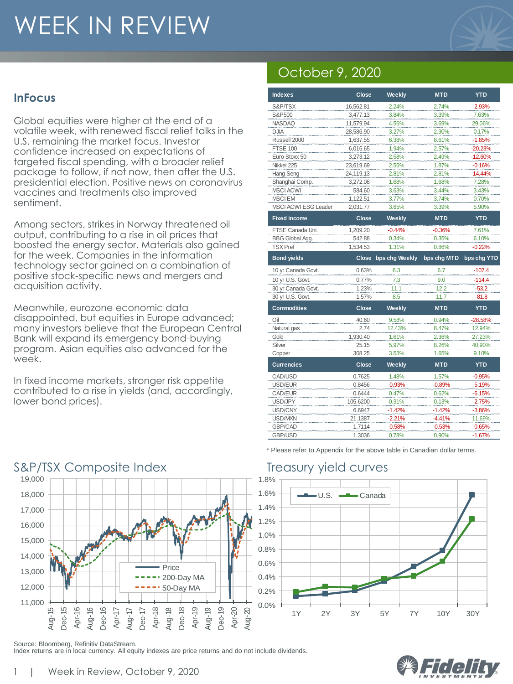# WEEK IN REVIEW



#### **InFocus**

Global equities were higher at the end of a volatile week, with renewed fiscal relief talks in the U.S. remaining the market focus. Investor confidence increased on expectations of targeted fiscal spending, with a broader relief package to follow, if not now, then after the U.S. presidential election. Positive news on coronavirus vaccines and treatments also improved sentiment.

Among sectors, strikes in Norway threatened oil output, contributing to a rise in oil prices that boosted the energy sector. Materials also gained for the week. Companies in the information technology sector gained on a combination of positive stock-specific news and mergers and acquisition activity.

Meanwhile, eurozone economic data disappointed, but equities in Europe advanced; many investors believe that the European Central Bank will expand its emergency bond-buying program. Asian equities also advanced for the week.

In fixed income markets, stronger risk appetite contributed to a rise in yields (and, accordingly, lower bond prices).

# October 9, 2020

| <b>Indexes</b>              | <b>Close</b> | Weekly               | <b>MTD</b>  | <b>YTD</b>  |
|-----------------------------|--------------|----------------------|-------------|-------------|
| S&P/TSX                     | 16,562.81    | 2.24%                | 2.74%       | $-2.93%$    |
| S&P500                      | 3,477.13     | 3.84%                | 3.39%       | 7.63%       |
| <b>NASDAQ</b>               | 11,579.94    | 4.56%                | 3.69%       | 29.06%      |
| <b>DJIA</b>                 | 28,586.90    | 3.27%                | 2.90%       | 0.17%       |
| Russell 2000                | 1,637.55     | 6.38%                | 8.61%       | $-1.85%$    |
| <b>FTSE 100</b>             | 6,016.65     | 1.94%                | 2.57%       | $-20.23%$   |
| Euro Stoxx 50               | 3,273.12     | 2.58%                | 2.49%       | $-12.60%$   |
| Nikkei 225                  | 23,619.69    | 2.56%                | 1.87%       | $-0.16%$    |
| Hang Seng                   | 24,119.13    | 2.81%                | 2.81%       | $-14.44%$   |
| Shanghai Comp.              | 3,272.08     | 1.68%                | 1.68%       | 7.28%       |
| <b>MSCI ACWI</b>            | 584.60       | 3.63%                | 3.44%       | 3.43%       |
| <b>MSCIEM</b>               | 1,122.51     | 3.77%                | 3.74%       | 0.70%       |
| <b>MSCI ACWI ESG Leader</b> | 2,031.77     | 3.65%                | 3.39%       | 5.90%       |
| <b>Fixed income</b>         | Close        | Weekly               | <b>MTD</b>  | <b>YTD</b>  |
| FTSE Canada Uni.            | 1,209.20     | $-0.44%$             | $-0.36%$    | 7.61%       |
| <b>BBG Global Agg.</b>      | 542.88       | 0.34%                | 0.35%       | 6.10%       |
| <b>TSX Pref</b>             | 1,534.53     | 1.31%                | 0.86%       | $-0.22%$    |
| <b>Bond yields</b>          |              | Close bps chg Weekly | bps chg MTD | bps chg YTD |
| 10 yr Canada Govt.          | 0.63%        | 6.3                  | 6.7         | $-107.4$    |
|                             |              |                      |             |             |
| 10 yr U.S. Govt.            | 0.77%        | 7.3                  | 9.0         | $-114.4$    |
| 30 yr Canada Govt.          | 1.23%        | 11.1                 | 12.2        | $-53.2$     |
| 30 yr U.S. Govt.            | 1.57%        | 8.5                  | 11.7        | $-81.8$     |
| <b>Commodities</b>          | <b>Close</b> | Weekly               | <b>MTD</b>  | <b>YTD</b>  |
| Oil                         | 40.60        | 9.58%                | 0.94%       | $-28.58%$   |
| Natural gas                 | 2.74         | 12.43%               | 8.47%       | 12.94%      |
| Gold                        | 1,930.40     | 1.61%                | 2.36%       | 27.23%      |
| Silver                      | 25.15        | 5.97%                | 8.26%       | 40.90%      |
| Copper                      | 308.25       | 3.53%                | 1.65%       | 9.10%       |
| <b>Currencies</b>           | <b>Close</b> | Weekly               | <b>MTD</b>  | <b>YTD</b>  |
| CAD/USD                     | 0.7625       | 1.48%                | 1.57%       | $-0.95%$    |
| USD/EUR                     | 0.8456       | $-0.93%$             | $-0.89%$    | $-5.19%$    |
| CAD/EUR                     | 0.6444       | 0.47%                | 0.62%       | $-6.15%$    |
| USD/JPY                     | 105.6200     | 0.31%                | 0.13%       | $-2.75%$    |
| USD/CNY                     | 6.6947       | $-1.42%$             | $-1.42%$    | $-3.86%$    |
| USD/MXN                     | 21.1387      | $-2.21%$             | $-4.41%$    | 11.69%      |
| GBP/CAD                     | 1.7114       | $-0.58%$             | $-0.53%$    | $-0.65%$    |



Index returns are in local currency. All equity indexes are price returns and do not include dividends.

\* Please refer to Appendix for the above table in Canadian dollar terms.



Source: Bloomberg, Refinitiv DataStream.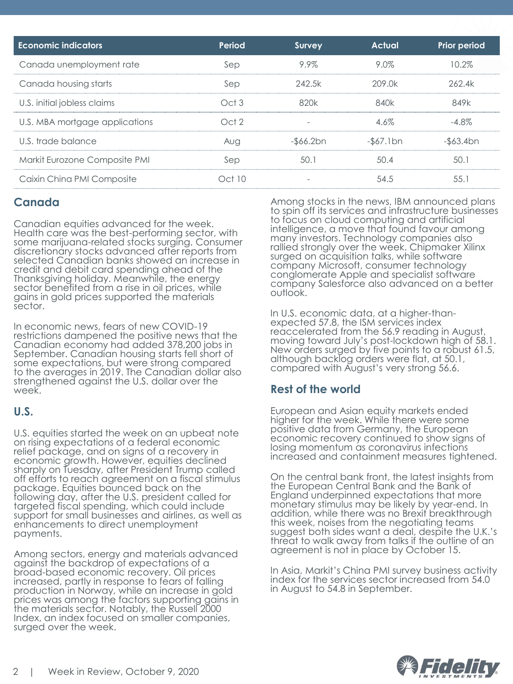| <b>Economic indicators</b>     | Period           | Survey       | <b>Actual</b>   | <b>Prior period</b> |
|--------------------------------|------------------|--------------|-----------------|---------------------|
| Canada unemployment rate       | Sep              | 9.9%         | 9.0%            | 10.2%               |
| Canada housing starts          | Sep              | 242.5k       | 209.0k          | 262.4k              |
| U.S. initial jobless claims    | Oct3             | 820k         | 840k            | 849k                |
| U.S. MBA mortgage applications | Oct <sub>2</sub> |              | 4.6%            | $-4.8\%$            |
| U.S. trade balance             | Aug              | $-$ \$66.2bn | $-$ \$67.1 $bn$ | $-$ \$63.4bn        |
| Markit Eurozone Composite PMI  | Sep              | 50.1         | 50.4            | 50.1                |
| Caixin China PMI Composite     | Oct 10           |              | 54.5            | 55.1                |

#### **Canada**

Canadian equities advanced for the week. Health care was the best-performing sector, with some marijuana-related stocks surging. Consumer discretionary stocks advanced after reports from selected Canadian banks showed an increase in credit and debit card spending ahead of the Thanksgiving holiday. Meanwhile, the energy sector benefited from a rise in oil prices, while gains in gold prices supported the materials sector.

In economic news, fears of new COVID-19 restrictions dampened the positive news that the Canadian economy had added 378,200 jobs in September. Canadian housing starts fell short of some expectations, but were strong compared to the averages in 2019. The Canadian dollar also strengthened against the U.S. dollar over the week.

#### **U.S.**

U.S. equities started the week on an upbeat note on rising expectations of a federal economic relief package, and on signs of a recovery in economic growth. However, equities declined sharply on Tuesday, after President Trump called off efforts to reach agreement on a fiscal stimulus package. Equities bounced back on the following day, after the U.S. president called for targeted fiscal spending, which could include support for small businesses and airlines, as well as enhancements to direct unemployment payments.

Among sectors, energy and materials advanced against the backdrop of expectations of a broad-based economic recovery. Oil prices increased, partly in response to fears of falling production in Norway, while an increase in gold prices was among the factors supporting gains in the materials sector. Notably, the Russell 2000 Index, an index focused on smaller companies, surged over the week.

Among stocks in the news, IBM announced plans to spin off its services and infrastructure businesses to focus on cloud computing and artificial intelligence, a move that found favour among many investors. Technology companies also rallied strongly over the week. Chipmaker Xilinx surged on acquisition talks, while software company Microsoft, consumer technology conglomerate Apple and specialist software company Salesforce also advanced on a better outlook.

In U.S. economic data, at a higher-thanexpected 57.8, the ISM services index reaccelerated from the 56.9 reading in August, moving toward July's post-lockdown high of 58.1. New orders surged by five points to a robust 61.5, although backlog orders were flat, at 50.1, compared with August's very strong 56.6.

#### **Rest of the world**

European and Asian equity markets ended higher for the week. While there were some positive data from Germany, the European economic recovery continued to show signs of losing momentum as coronavirus infections increased and containment measures tightened.

On the central bank front, the latest insights from the European Central Bank and the Bank of England underpinned expectations that more monetary stimulus may be likely by year-end. In addition, while there was no Brexit breakthrough this week, noises from the negotiating teams suggest both sides want a deal, despite the U.K.'s threat to walk away from talks if the outline of an agreement is not in place by October 15.

In Asia, Markit's China PMI survey business activity index for the services sector increased from 54.0 in August to 54.8 in September.

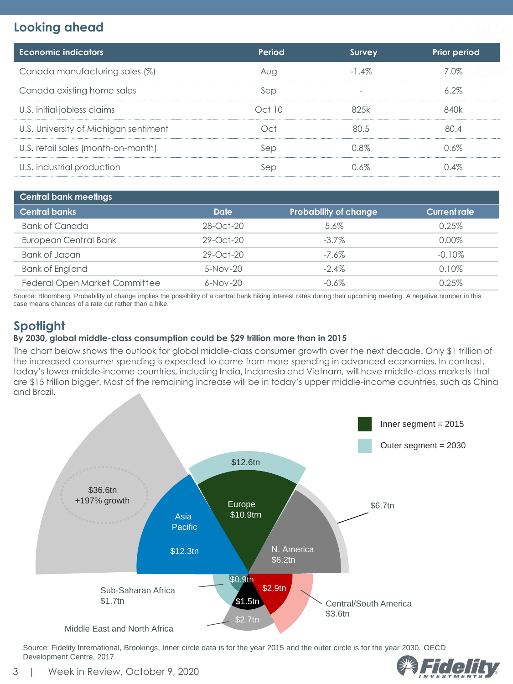### **Looking ahead**

| <b>Economic indicators</b>            | Period         | <b>Survey</b>            | Prior period |
|---------------------------------------|----------------|--------------------------|--------------|
| Canada manufacturing sales (%)        | Aug            | $-1.4\%$                 | 7.0%         |
| Canada existing home sales            | Sep            | $\overline{\phantom{a}}$ | $6.2\%$      |
| U.S. initial jobless claims           | Oct10          | 82.5k                    | 840k         |
| U.S. University of Michigan sentiment | C <sup>†</sup> | 80.5                     | 80.4         |
| U.S. retail sales (month-on-month)    | Sep            | 0.8%                     | 0.6%         |
| U.S. industrial production            | Sep            | በ 6%                     | 0.4%         |

| <b>Central bank meetings</b>         |                 |                              |                     |  |  |
|--------------------------------------|-----------------|------------------------------|---------------------|--|--|
| <b>Central banks</b>                 | <b>Date</b>     | <b>Probability of change</b> | <b>Current rate</b> |  |  |
| <b>Bank of Canada</b>                | $28 - Oct - 20$ | 5.6%                         | 0.25%               |  |  |
| European Central Bank                | $29 - Oct-20$   | $-3.7\%$                     | $0.00\%$            |  |  |
| Bank of Japan                        | $29 - Oct - 20$ | $-7.6\%$                     | $-0.10\%$           |  |  |
| <b>Bank of England</b>               | $5-Nov-20$      | $-2.4\%$                     | 0.10%               |  |  |
| <b>Federal Open Market Committee</b> | $6-Nov-20$      | $-0.6\%$                     | 0.25%               |  |  |

Source: Bloomberg. Probability of change implies the possibility of a central bank hiking interest rates during their upcoming meeting. A negative number in this case means chances of a rate cut rather than a hike.

### **Spotlight**

#### **By 2030, global middle-class consumption could be \$29 trillion more than in 2015**

The chart below shows the outlook for global middle-class consumer growth over the next decade. Only \$1 trillion of the increased consumer spending is expected to come from more spending in advanced economies. In contrast, today's lower middle-income countries, including India, Indonesia and Vietnam, will have middle-class markets that are \$15 trillion bigger. Most of the remaining increase will be in today's upper middle-income countries, such as China and Brazil.



Source: Fidelity International, Brookings, Inner circle data is for the year 2015 and the outer circle is for the year 2030. OECD Development Centre, 2017.

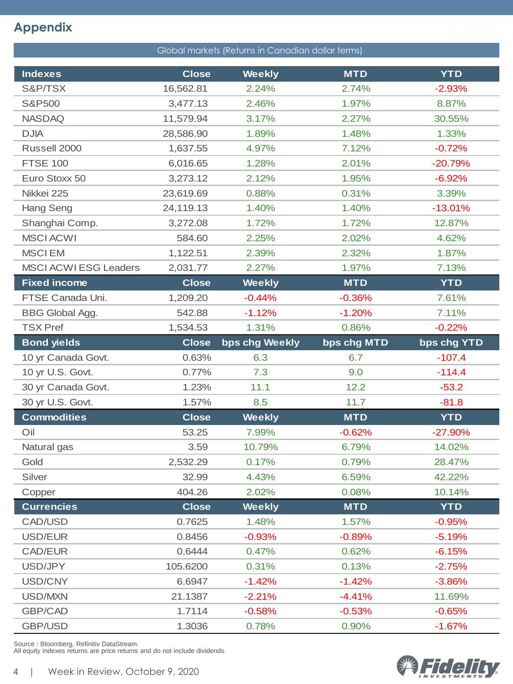## **Appendix**

| Global markets (Returns in Canadian dollar terms) |              |                |             |             |  |
|---------------------------------------------------|--------------|----------------|-------------|-------------|--|
| <b>Indexes</b>                                    | <b>Close</b> | <b>Weekly</b>  | <b>MTD</b>  | <b>YTD</b>  |  |
| S&P/TSX                                           | 16,562.81    | 2.24%          | 2.74%       | $-2.93%$    |  |
| S&P500                                            | 3,477.13     | 2.46%          | 1.97%       | 8.87%       |  |
| <b>NASDAQ</b>                                     | 11,579.94    | 3.17%          | 2.27%       | 30.55%      |  |
| <b>DJIA</b>                                       | 28,586.90    | 1.89%          | 1.48%       | 1.33%       |  |
| Russell 2000                                      | 1,637.55     | 4.97%          | 7.12%       | $-0.72%$    |  |
| <b>FTSE 100</b>                                   | 6,016.65     | 1.28%          | 2.01%       | $-20.79%$   |  |
| Euro Stoxx 50                                     | 3,273.12     | 2.12%          | 1.95%       | $-6.92%$    |  |
| Nikkei 225                                        | 23,619.69    | 0.88%          | 0.31%       | 3.39%       |  |
| Hang Seng                                         | 24,119.13    | 1.40%          | 1.40%       | $-13.01%$   |  |
| Shanghai Comp.                                    | 3,272.08     | 1.72%          | 1.72%       | 12.87%      |  |
| <b>MSCI ACWI</b>                                  | 584.60       | 2.25%          | 2.02%       | 4.62%       |  |
| <b>MSCIEM</b>                                     | 1,122.51     | 2.39%          | 2.32%       | 1.87%       |  |
| <b>MSCI ACWI ESG Leaders</b>                      | 2,031.77     | 2.27%          | 1.97%       | 7.13%       |  |
| <b>Fixed income</b>                               | <b>Close</b> | <b>Weekly</b>  | <b>MTD</b>  | <b>YTD</b>  |  |
| FTSE Canada Uni.                                  | 1,209.20     | $-0.44%$       | $-0.36%$    | 7.61%       |  |
| <b>BBG Global Agg.</b>                            | 542.88       | $-1.12%$       | $-1.20%$    | 7.11%       |  |
| <b>TSX Pref</b>                                   | 1,534.53     | 1.31%          | 0.86%       | $-0.22%$    |  |
|                                                   |              |                |             |             |  |
| <b>Bond yields</b>                                | <b>Close</b> | bps chg Weekly | bps chg MTD | bps chg YTD |  |
| 10 yr Canada Govt.                                | 0.63%        | 6.3            | 6.7         | $-107.4$    |  |
| 10 yr U.S. Govt.                                  | 0.77%        | 7.3            | 9.0         | $-114.4$    |  |
| 30 yr Canada Govt.                                | 1.23%        | 11.1           | 12.2        | $-53.2$     |  |
| 30 yr U.S. Govt.                                  | 1.57%        | 8.5            | 11.7        | $-81.8$     |  |
| <b>Commodities</b>                                | <b>Close</b> | <b>Weekly</b>  | <b>MTD</b>  | <b>YTD</b>  |  |
| Oil                                               | 53.25        | 7.99%          | $-0.62%$    | $-27.90%$   |  |
| Natural gas                                       | 3.59         | 10.79%         | 6.79%       | 14.02%      |  |
| Gold                                              | 2,532.29     | 0.17%          | 0.79%       | 28.47%      |  |
| Silver                                            | 32.99        | 4.43%          | 6.59%       | 42.22%      |  |
| Copper                                            | 404.26       | 2.02%          | 0.08%       | 10.14%      |  |
| <b>Currencies</b>                                 | <b>Close</b> | <b>Weekly</b>  | <b>MTD</b>  | <b>YTD</b>  |  |
| CAD/USD                                           | 0.7625       | 1.48%          | 1.57%       | $-0.95%$    |  |
| USD/EUR                                           | 0.8456       | $-0.93%$       | $-0.89%$    | $-5.19%$    |  |
| CAD/EUR                                           | 0.6444       | 0.47%          | 0.62%       | $-6.15%$    |  |
| USD/JPY                                           | 105.6200     | 0.31%          | 0.13%       | $-2.75%$    |  |
| USD/CNY                                           | 6.6947       | $-1.42%$       | $-1.42%$    | $-3.86%$    |  |
| USD/MXN                                           | 21.1387      | $-2.21%$       | $-4.41%$    | 11.69%      |  |
| GBP/CAD                                           | 1.7114       | $-0.58%$       | $-0.53%$    | $-0.65%$    |  |

Source : Bloomberg, Refinitiv DataStream. All equity indexes returns are price returns and do not include dividends.